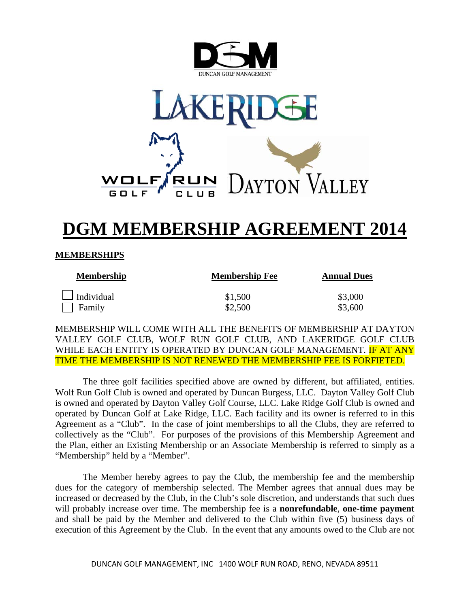



# **DGM MEMBERSHIP AGREEMENT 2014**

## **MEMBERSHIPS**

| <b>Membership</b> | <b>Membership Fee</b> | <b>Annual Dues</b> |  |
|-------------------|-----------------------|--------------------|--|
| $\Box$ Individual | \$1,500               | \$3,000            |  |
| Family            | \$2,500               | \$3,600            |  |

MEMBERSHIP WILL COME WITH ALL THE BENEFITS OF MEMBERSHIP AT DAYTON VALLEY GOLF CLUB, WOLF RUN GOLF CLUB, AND LAKERIDGE GOLF CLUB WHILE EACH ENTITY IS OPERATED BY DUNCAN GOLF MANAGEMENT. IF AT ANY TIME THE MEMBERSHIP IS NOT RENEWED THE MEMBERSHIP FEE IS FORFIETED.

The three golf facilities specified above are owned by different, but affiliated, entities. Wolf Run Golf Club is owned and operated by Duncan Burgess, LLC. Dayton Valley Golf Club is owned and operated by Dayton Valley Golf Course, LLC. Lake Ridge Golf Club is owned and operated by Duncan Golf at Lake Ridge, LLC. Each facility and its owner is referred to in this Agreement as a "Club". In the case of joint memberships to all the Clubs, they are referred to collectively as the "Club". For purposes of the provisions of this Membership Agreement and the Plan, either an Existing Membership or an Associate Membership is referred to simply as a "Membership" held by a "Member".

 The Member hereby agrees to pay the Club, the membership fee and the membership dues for the category of membership selected. The Member agrees that annual dues may be increased or decreased by the Club, in the Club's sole discretion, and understands that such dues will probably increase over time. The membership fee is a **nonrefundable**, **one-time payment** and shall be paid by the Member and delivered to the Club within five (5) business days of execution of this Agreement by the Club. In the event that any amounts owed to the Club are not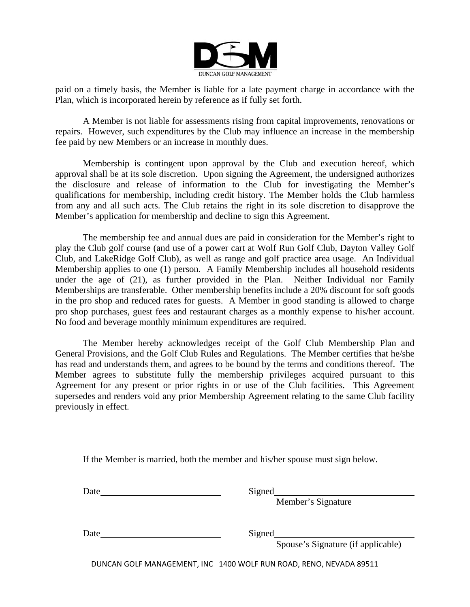

paid on a timely basis, the Member is liable for a late payment charge in accordance with the Plan, which is incorporated herein by reference as if fully set forth.

 A Member is not liable for assessments rising from capital improvements, renovations or repairs. However, such expenditures by the Club may influence an increase in the membership fee paid by new Members or an increase in monthly dues.

 Membership is contingent upon approval by the Club and execution hereof, which approval shall be at its sole discretion. Upon signing the Agreement, the undersigned authorizes the disclosure and release of information to the Club for investigating the Member's qualifications for membership, including credit history. The Member holds the Club harmless from any and all such acts. The Club retains the right in its sole discretion to disapprove the Member's application for membership and decline to sign this Agreement.

 The membership fee and annual dues are paid in consideration for the Member's right to play the Club golf course (and use of a power cart at Wolf Run Golf Club, Dayton Valley Golf Club, and LakeRidge Golf Club), as well as range and golf practice area usage. An Individual Membership applies to one (1) person. A Family Membership includes all household residents under the age of (21), as further provided in the Plan. Neither Individual nor Family Memberships are transferable. Other membership benefits include a 20% discount for soft goods in the pro shop and reduced rates for guests. A Member in good standing is allowed to charge pro shop purchases, guest fees and restaurant charges as a monthly expense to his/her account. No food and beverage monthly minimum expenditures are required.

 The Member hereby acknowledges receipt of the Golf Club Membership Plan and General Provisions, and the Golf Club Rules and Regulations. The Member certifies that he/she has read and understands them, and agrees to be bound by the terms and conditions thereof. The Member agrees to substitute fully the membership privileges acquired pursuant to this Agreement for any present or prior rights in or use of the Club facilities. This Agreement supersedes and renders void any prior Membership Agreement relating to the same Club facility previously in effect.

If the Member is married, both the member and his/her spouse must sign below.

Date Signed

Member's Signature

Date Signed

Spouse's Signature (if applicable)

DUNCAN GOLF MANAGEMENT, INC 1400 WOLF RUN ROAD, RENO, NEVADA 89511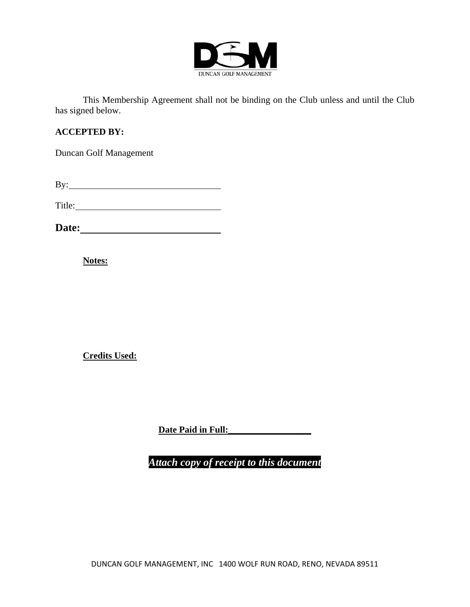

 This Membership Agreement shall not be binding on the Club unless and until the Club has signed below.

#### **ACCEPTED BY:**

Duncan Golf Management

| By: |
|-----|
|-----|

Title: The Communication of the Communication of the Communication of the Communication of the Communication of the Communication of the Communication of the Communication of the Communication of the Communication of the C

**Date:** 

**Notes:**

**Credits Used:**

**Date Paid in Full:\_\_\_\_\_\_\_\_\_\_\_\_\_\_\_\_\_\_**

*Attach copy of receipt to this document*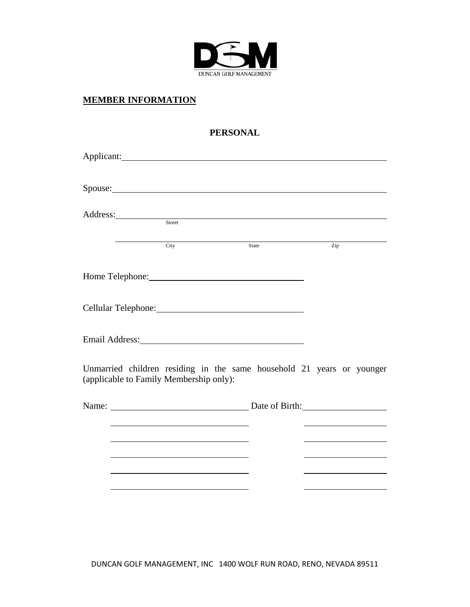

## **MEMBER INFORMATION**

## **PERSONAL**

| Address: Street                                                                                                                                                                                                                |              |  |
|--------------------------------------------------------------------------------------------------------------------------------------------------------------------------------------------------------------------------------|--------------|--|
| City                                                                                                                                                                                                                           | State<br>Zip |  |
| Home Telephone: Manual Manual Manual Manual Manual Manual Manual Manual Manual Manual Manual Manual Manual Manual Manual Manual Manual Manual Manual Manual Manual Manual Manual Manual Manual Manual Manual Manual Manual Man |              |  |
|                                                                                                                                                                                                                                |              |  |
| Email Address: No. 1996. The Manual Address: No. 1996. The Manual Address: No. 1997. The Manual Address: No. 1997. The Manual Address: No. 1997. The Manual Address: No. 1997. The Manual Address: No. 1997. The Manual Addres |              |  |
| Unmarried children residing in the same household 21 years or younger<br>(applicable to Family Membership only):                                                                                                               |              |  |
|                                                                                                                                                                                                                                |              |  |
|                                                                                                                                                                                                                                |              |  |
|                                                                                                                                                                                                                                |              |  |
|                                                                                                                                                                                                                                |              |  |
|                                                                                                                                                                                                                                |              |  |